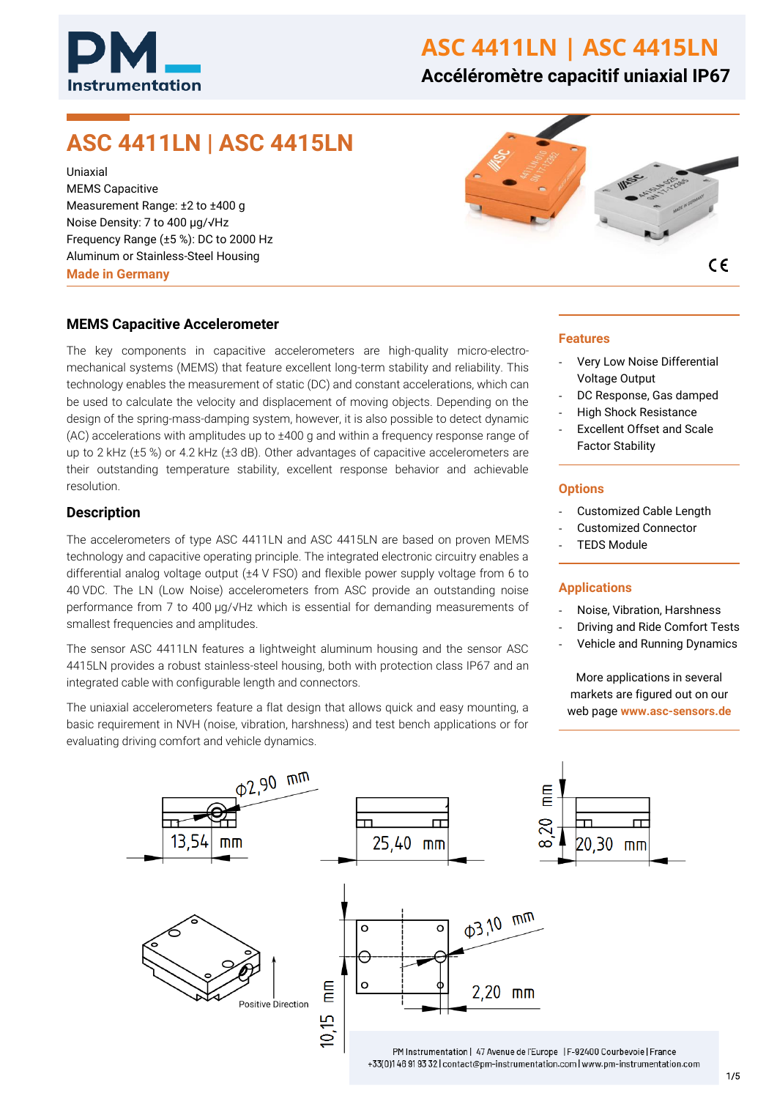

# **ASC 4411LN | ASC 4415LN**

# **Accéléromètre capacitif uniaxial IP67**

# **ASC 4411LN | ASC 4415LN**

Uniaxial MEMS Capacitive Measurement Range: ±2 to ±400 g Noise Density: 7 to 400 µg/√Hz Frequency Range (±5 %): DC to 2000 Hz Aluminum or Stainless-Steel Housing **Made in Germany**



 $\epsilon$ 

### **MEMS Capacitive Accelerometer**

The key components in capacitive accelerometers are high-quality micro-electromechanical systems (MEMS) that feature excellent long-term stability and reliability. This technology enables the measurement of static (DC) and constant accelerations, which can be used to calculate the velocity and displacement of moving objects. Depending on the design of the spring-mass-damping system, however, it is also possible to detect dynamic (AC) accelerations with amplitudes up to ±400 g and within a frequency response range of up to 2 kHz (±5 %) or 4.2 kHz (±3 dB). Other advantages of capacitive accelerometers are their outstanding temperature stability, excellent response behavior and achievable resolution.

#### **Description**

The accelerometers of type ASC 4411LN and ASC 4415LN are based on proven MEMS technology and capacitive operating principle. The integrated electronic circuitry enables a differential analog voltage output (±4 V FSO) and flexible power supply voltage from 6 to 40 VDC. The LN (Low Noise) accelerometers from ASC provide an outstanding noise performance from 7 to 400 µg/√Hz which is essential for demanding measurements of smallest frequencies and amplitudes.

The sensor ASC 4411LN features a lightweight aluminum housing and the sensor ASC 4415LN provides a robust stainless-steel housing, both with protection class IP67 and an integrated cable with configurable length and connectors.

The uniaxial accelerometers feature a flat design that allows quick and easy mounting, a basic requirement in NVH (noise, vibration, harshness) and test bench applications or for evaluating driving comfort and vehicle dynamics.

#### **Features**

- Very Low Noise Differential Voltage Output
- DC Response, Gas damped
- High Shock Resistance
- Excellent Offset and Scale Factor Stability

#### **Options**

- Customized Cable Length
- Customized Connector
- **TEDS Module**

#### **Applications**

- Noise, Vibration, Harshness
- Driving and Ride Comfort Tests
- Vehicle and Running Dynamics

More applications in several markets are figured out on our web page **www.asc-sensors.de**

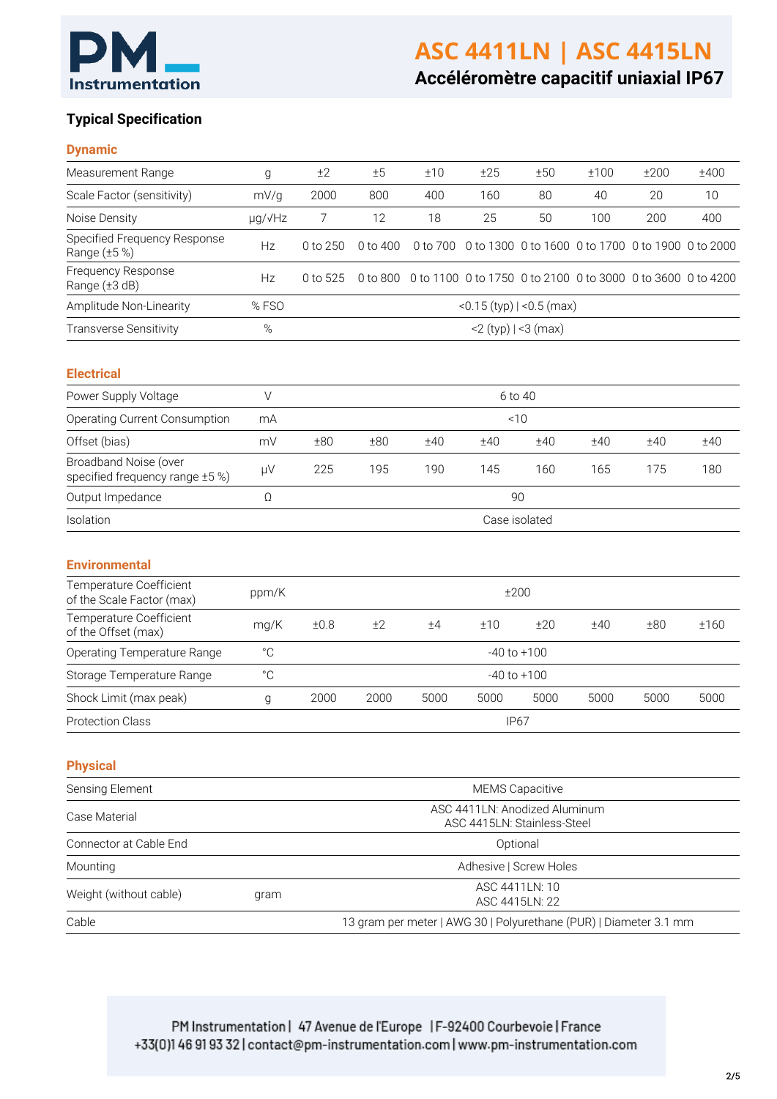

# **ASC 4411LN | ASC 4415LN**

**Accéléromètre capacitif uniaxial IP67**

# **Typical Specification**

## **Dynamic**

| Measurement Range                                        | g                                                                 | ±2                                                           | ±5       | ±10      | ±25                                                         | ±50  | ±100                                              | ±200 | ±400 |
|----------------------------------------------------------|-------------------------------------------------------------------|--------------------------------------------------------------|----------|----------|-------------------------------------------------------------|------|---------------------------------------------------|------|------|
| Scale Factor (sensitivity)                               | mV/g                                                              | 2000                                                         | 800      | 400      | 160                                                         | 80   | 40                                                | 20   | 10   |
| Noise Density                                            | µg/√Hz                                                            | 7                                                            | 12       | 18       | 25                                                          | 50   | 100                                               | 200  | 400  |
| Specified Frequency Response<br>Range (±5 %)             | Hz                                                                | 0 to 250                                                     | 0 to 400 | 0 to 700 |                                                             |      | 0 to 1300 0 to 1600 0 to 1700 0 to 1900 0 to 2000 |      |      |
| Frequency Response<br>Range (±3 dB)                      | Hz                                                                | 0 to 525                                                     | 0 to 800 |          | 0 to 1100 0 to 1750 0 to 2100 0 to 3000 0 to 3600 0 to 4200 |      |                                                   |      |      |
| Amplitude Non-Linearity                                  | %FSO                                                              | $<$ 0.15 (typ) $ <$ 0.5 (max)                                |          |          |                                                             |      |                                                   |      |      |
| <b>Transverse Sensitivity</b>                            | $\%$                                                              | $<$ 2 (typ)   $<$ 3 (max)                                    |          |          |                                                             |      |                                                   |      |      |
| <b>Electrical</b>                                        |                                                                   |                                                              |          |          |                                                             |      |                                                   |      |      |
| Power Supply Voltage                                     | $\vee$                                                            |                                                              |          |          | 6 to 40                                                     |      |                                                   |      |      |
| <b>Operating Current Consumption</b>                     | mA                                                                | < 10                                                         |          |          |                                                             |      |                                                   |      |      |
| Offset (bias)                                            | mV                                                                | ±80                                                          | ±80      | ±40      | ±40                                                         | ±40  | ±40                                               | ±40  | ±40  |
| Broadband Noise (over<br>specified frequency range ±5 %) | $\mu$ V                                                           | 225                                                          | 195      | 190      | 145                                                         | 160  | 165                                               | 175  | 180  |
| Output Impedance                                         | Ω                                                                 | 90                                                           |          |          |                                                             |      |                                                   |      |      |
| Isolation                                                |                                                                   |                                                              |          |          | Case isolated                                               |      |                                                   |      |      |
| <b>Environmental</b>                                     |                                                                   |                                                              |          |          |                                                             |      |                                                   |      |      |
| Temperature Coefficient<br>of the Scale Factor (max)     | ppm/K                                                             | ±200                                                         |          |          |                                                             |      |                                                   |      |      |
| Temperature Coefficient<br>of the Offset (max)           | mg/K                                                              | ±0.8                                                         | ±2       | ±4       | ±10                                                         | ±20  | ±40                                               | ±80  | ±160 |
| Operating Temperature Range                              | $^{\circ}$ C                                                      |                                                              |          |          | $-40$ to $+100$                                             |      |                                                   |      |      |
| Storage Temperature Range                                | $^{\circ} \mathrm C$                                              |                                                              |          |          | $-40$ to $+100$                                             |      |                                                   |      |      |
| Shock Limit (max peak)                                   | g                                                                 | 2000                                                         | 2000     | 5000     | 5000                                                        | 5000 | 5000                                              | 5000 | 5000 |
| <b>Protection Class</b>                                  |                                                                   |                                                              |          |          | <b>IP67</b>                                                 |      |                                                   |      |      |
| <b>Physical</b>                                          |                                                                   |                                                              |          |          |                                                             |      |                                                   |      |      |
| Sensing Element                                          |                                                                   |                                                              |          |          | <b>MEMS Capacitive</b>                                      |      |                                                   |      |      |
| Case Material                                            |                                                                   | ASC 4411LN: Anodized Aluminum<br>ASC 4415LN: Stainless-Steel |          |          |                                                             |      |                                                   |      |      |
| Connector at Cable End                                   |                                                                   | Optional                                                     |          |          |                                                             |      |                                                   |      |      |
| Mounting                                                 |                                                                   | Adhesive   Screw Holes                                       |          |          |                                                             |      |                                                   |      |      |
| Weight (without cable)                                   | gram                                                              | ASC 4411LN: 10<br>ASC 4415LN: 22                             |          |          |                                                             |      |                                                   |      |      |
| Cable                                                    | 13 gram per meter   AWG 30   Polyurethane (PUR)   Diameter 3.1 mm |                                                              |          |          |                                                             |      |                                                   |      |      |

PM Instrumentation | 47 Avenue de l'Europe | F-92400 Courbevoie | France +33(0)146919332 | contact@pm-instrumentation.com | www.pm-instrumentation.com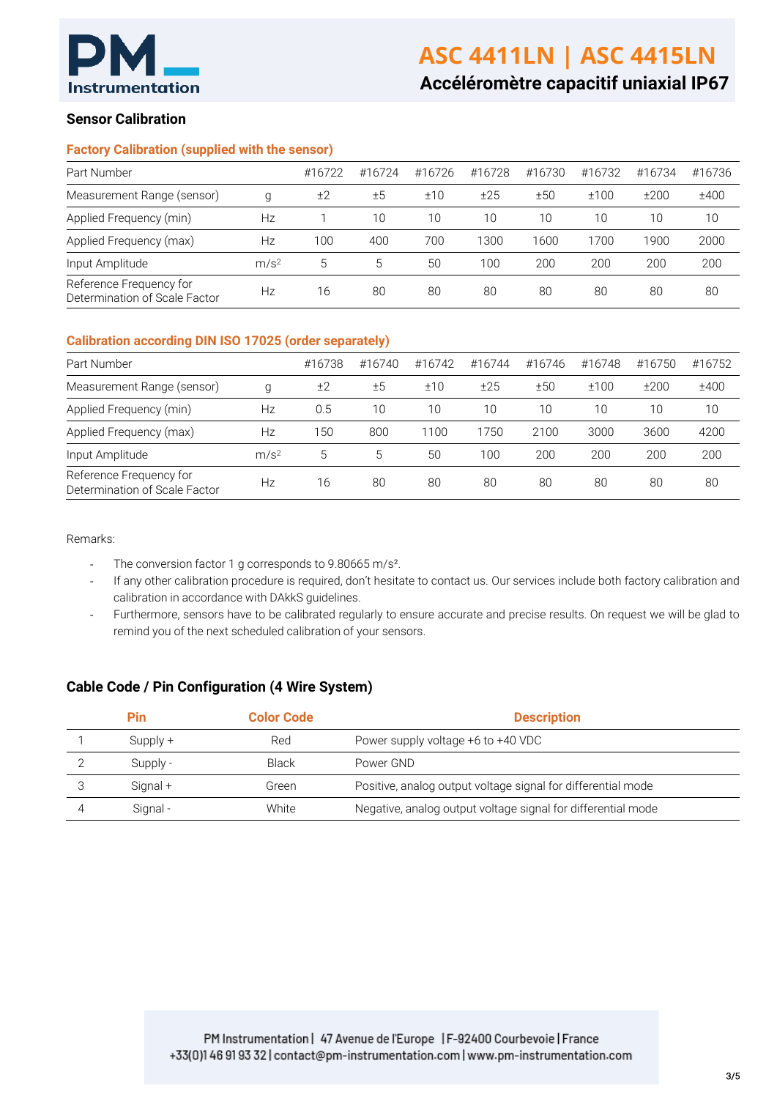

**Accéléromètre capacitif uniaxial IP67**

# **Sensor Calibration**

### **Factory Calibration (supplied with the sensor)**

| Part Number                                              |    | #16722 | #16724 | #16726 | #16728 | #16730 | #16732 | #16734 | #16736 |
|----------------------------------------------------------|----|--------|--------|--------|--------|--------|--------|--------|--------|
| Measurement Range (sensor)<br>g                          |    | ±2     | ±5     | ±10    | ±25    | ±50    | ±100   | ±200   | ±400   |
| Applied Frequency (min)                                  | Hz |        | 10     | 10     | 10     | 10     | 10     | 10     | 10     |
| Applied Frequency (max)                                  | Hz | 100    | 400    | 700    | 1300.  | 1600   | 1700   | 1900   | 2000   |
| Input Amplitude<br>m/s <sup>2</sup>                      |    | 5      | 5      | 50     | 100    | 200    | 200    | 200    | 200    |
| Reference Frequency for<br>Determination of Scale Factor | Hz | 16     | 80     | 80     | 80     | 80     | 80     | 80     | 80     |

#### **Calibration according DIN ISO 17025 (order separately)**

| Part Number                                              |    | #16738 | #16740 | #16742 | #16744 | #16746 | #16748 | #16750 | #16752 |
|----------------------------------------------------------|----|--------|--------|--------|--------|--------|--------|--------|--------|
| Measurement Range (sensor)<br>g                          |    | ±2     | ±5     | ±10    | ±25    | ±50    | ±100   | ±200   | ±400   |
| Applied Frequency (min)                                  | Нz | 0.5    | 10     | 10     | 10     | 10     | 10     | 10     | 10     |
| Applied Frequency (max)                                  | Нz | 150    | 800    | 1100   | 1750   | 2100   | 3000   | 3600   | 4200   |
| Input Amplitude<br>m/s <sup>2</sup>                      |    | 5      | 5      | 50     | 100    | 200    | 200    | 200    | 200    |
| Reference Frequency for<br>Determination of Scale Factor | Нz | 16     | 80     | 80     | 80     | 80     | 80     | 80     | 80     |

Remarks:

- The conversion factor 1 g corresponds to 9.80665 m/s<sup>2</sup>.
- If any other calibration procedure is required, don't hesitate to contact us. Our services include both factory calibration and calibration in accordance with DAkkS guidelines.
- Furthermore, sensors have to be calibrated regularly to ensure accurate and precise results. On request we will be glad to remind you of the next scheduled calibration of your sensors.

# **Cable Code / Pin Configuration (4 Wire System)**

| Pin        | <b>Color Code</b> | <b>Description</b>                                           |
|------------|-------------------|--------------------------------------------------------------|
| $Supply +$ | Red               | Power supply voltage +6 to +40 VDC                           |
| Supply -   | <b>Black</b>      | Power GND                                                    |
| Signal +   | Green             | Positive, analog output voltage signal for differential mode |
| Signal-    | White             | Negative, analog output voltage signal for differential mode |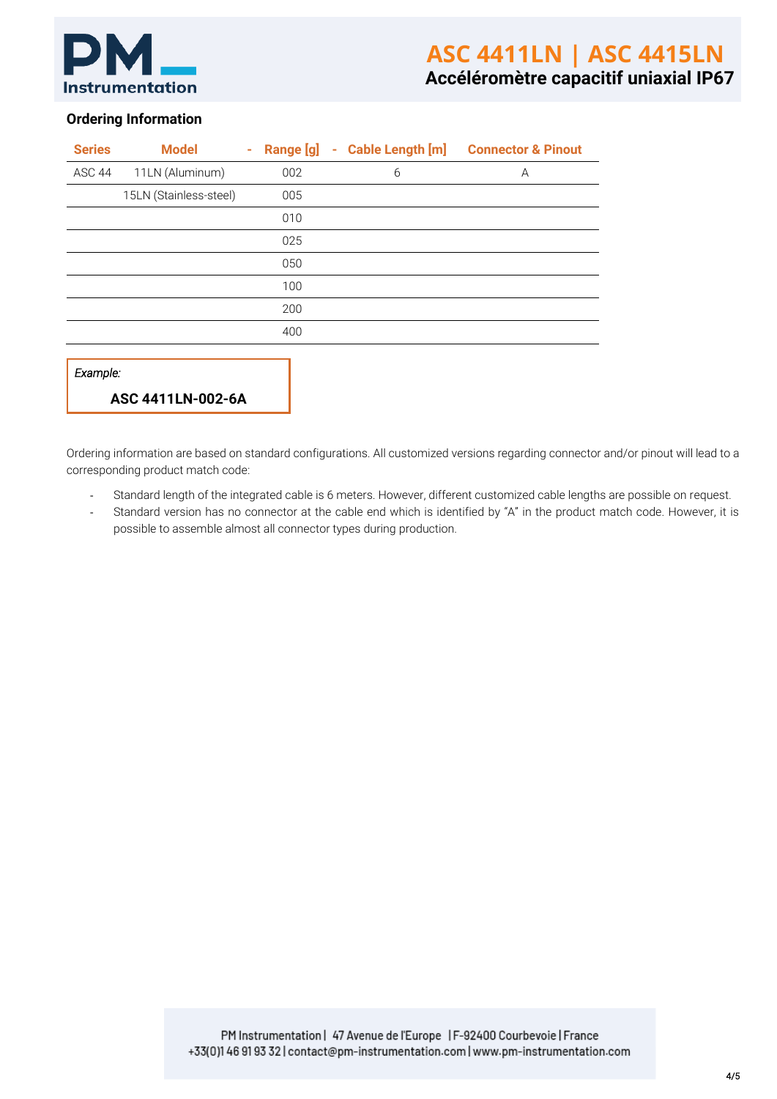

# **Ordering Information**

| <b>Series</b> | <b>Model</b>           | $\sim$ |     | Range [g] - Cable Length [m] | <b>Connector &amp; Pinout</b> |
|---------------|------------------------|--------|-----|------------------------------|-------------------------------|
| ASC 44        | 11LN (Aluminum)        |        | 002 | 6                            | A                             |
|               | 15LN (Stainless-steel) |        | 005 |                              |                               |
|               |                        |        | 010 |                              |                               |
|               |                        |        | 025 |                              |                               |
|               |                        |        | 050 |                              |                               |
|               |                        |        | 100 |                              |                               |
|               |                        |        | 200 |                              |                               |
|               |                        |        | 400 |                              |                               |
|               |                        |        |     |                              |                               |
| Example:      |                        |        |     |                              |                               |
|               | ASC 4411LN-002-6A      |        |     |                              |                               |

Ordering information are based on standard configurations. All customized versions regarding connector and/or pinout will lead to a corresponding product match code:

- Standard length of the integrated cable is 6 meters. However, different customized cable lengths are possible on request.
- Standard version has no connector at the cable end which is identified by "A" in the product match code. However, it is possible to assemble almost all connector types during production.